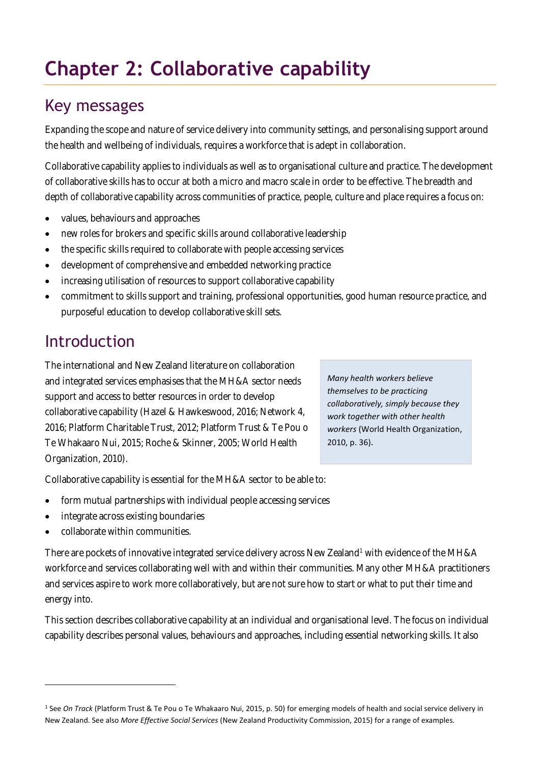# **Chapter 2: Collaborative capability**

## Key messages

Expanding the scope and nature of service delivery into community settings, and personalising support around the health and wellbeing of individuals, requires a workforce that is adept in collaboration.

Collaborative capability applies to individuals as well as to organisational culture and practice. The development of collaborative skills has to occur at both a micro and macro scale in order to be effective. The breadth and depth of collaborative capability across communities of practice, people, culture and place requires a focus on:

- values, behaviours and approaches
- new roles for brokers and specific skills around collaborative leadership
- the specific skills required to collaborate with people accessing services
- development of comprehensive and embedded networking practice
- increasing utilisation of resources to support collaborative capability
- commitment to skills support and training, professional opportunities, good human resource practice, and purposeful education to develop collaborative skill sets.

## Introduction

The international and New Zealand literature on collaboration and integrated services emphasises that the MH&A sector needs support and access to better resources in order to develop collaborative capability (Hazel & Hawkeswood, 2016; Network 4, 2016; Platform Charitable Trust, 2012; Platform Trust & Te Pou o Te Whakaaro Nui, 2015; Roche & Skinner, 2005; World Health Organization, 2010).

*Many health workers believe themselves to be practicing collaboratively, simply because they work together with other health workers* (World Health Organization, 2010, p. 36).

Collaborative capability is essential for the MH&A sector to be able to:

- form mutual partnerships with individual people accessing services
- integrate across existing boundaries
- collaborate within communities.

 $\overline{a}$ 

There are pockets of innovative integrated service delivery across New Zealand<sup>1</sup> with evidence of the MH&A workforce and services collaborating well with and within their communities. Many other MH&A practitioners and services aspire to work more collaboratively, but are not sure how to start or what to put their time and energy into.

This section describes collaborative capability at an individual and organisational level. The focus on individual capability describes personal values, behaviours and approaches, including essential networking skills. It also

<sup>1</sup> See *On Track* (Platform Trust & Te Pou o Te Whakaaro Nui, 2015, p. 50) for emerging models of health and social service delivery in New Zealand. See also *More Effective Social Services* (New Zealand Productivity Commission, 2015) for a range of examples.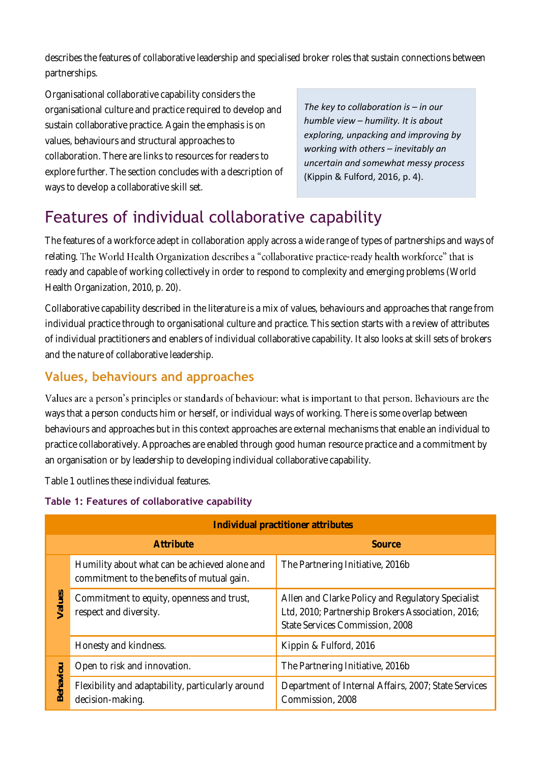describes the features of collaborative leadership and specialised broker roles that sustain connections between partnerships.

Organisational collaborative capability considers the organisational culture and practice required to develop and sustain collaborative practice. Again the emphasis is on values, behaviours and structural approaches to collaboration. There are links to resources for readers to explore further. The section concludes with a description of ways to develop a collaborative skill set.

*The key to collaboration is – in our humble view – humility. It is about exploring, unpacking and improving by working with others – inevitably an uncertain and somewhat messy process* (Kippin & Fulford, 2016, p. 4).

## Features of individual collaborative capability

The features of a workforce adept in collaboration apply across a wide range of types of partnerships and ways of relating. The World Health Organization describes a "collaborative practice-ready health workforce" that is ready and capable of working collectively in order to respond to complexity and emerging problems (World Health Organization, 2010, p. 20).

Collaborative capability described in the literature is a mix of values, behaviours and approaches that range from individual practice through to organisational culture and practice. This section starts with a review of attributes of individual practitioners and enablers of individual collaborative capability. It also looks at skill sets of brokers and the nature of collaborative leadership.

### **Values, behaviours and approaches**

Values are a person's principles or standards of behaviour: what is important to that person. Behaviours are the ways that a person conducts him or herself, or individual ways of working. There is some overlap between behaviours and approaches but in this context approaches are external mechanisms that enable an individual to practice collaboratively. Approaches are enabled through good human resource practice and a commitment by an organisation or by leadership to developing individual collaborative capability.

Table 1 outlines these individual features.

#### **Table 1: Features of collaborative capability**

| Individual practitioner attributes |                                                                                             |                                                                                                                                           |  |  |
|------------------------------------|---------------------------------------------------------------------------------------------|-------------------------------------------------------------------------------------------------------------------------------------------|--|--|
|                                    | Attribute                                                                                   | Source                                                                                                                                    |  |  |
| Values                             | Humility about what can be achieved alone and<br>commitment to the benefits of mutual gain. | The Partnering Initiative, 2016b                                                                                                          |  |  |
|                                    | Commitment to equity, openness and trust,<br>respect and diversity.                         | Allen and Clarke Policy and Regulatory Specialist<br>Ltd, 2010; Partnership Brokers Association, 2016;<br>State Services Commission, 2008 |  |  |
|                                    | Honesty and kindness.                                                                       | Kippin & Fulford, 2016                                                                                                                    |  |  |
| Behaviou                           | Open to risk and innovation.                                                                | The Partnering Initiative, 2016b                                                                                                          |  |  |
|                                    | Flexibility and adaptability, particularly around<br>decision-making.                       | Department of Internal Affairs, 2007; State Services<br>Commission, 2008                                                                  |  |  |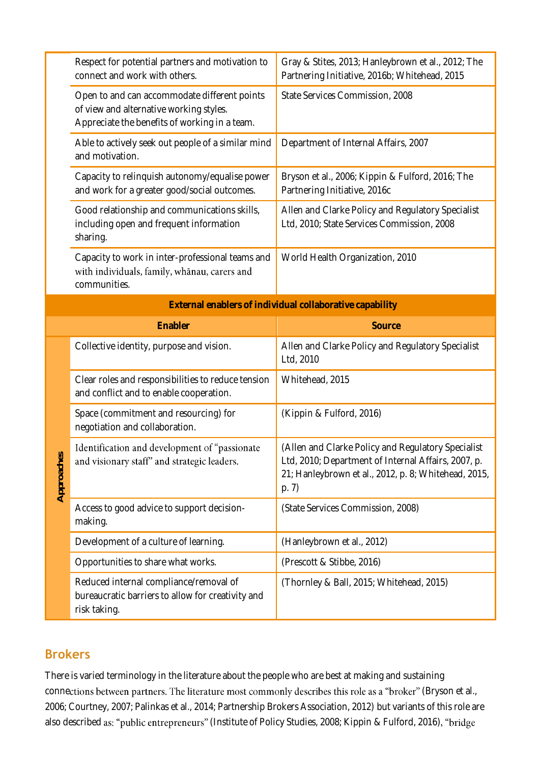|            | Respect for potential partners and motivation to<br>connect and work with others.                                                        | Gray & Stites, 2013; Hanleybrown et al., 2012; The<br>Partnering Initiative, 2016b; Whitehead, 2015                                                                        |  |  |
|------------|------------------------------------------------------------------------------------------------------------------------------------------|----------------------------------------------------------------------------------------------------------------------------------------------------------------------------|--|--|
|            | Open to and can accommodate different points<br>of view and alternative working styles.<br>Appreciate the benefits of working in a team. | State Services Commission, 2008                                                                                                                                            |  |  |
|            | Able to actively seek out people of a similar mind<br>and motivation.                                                                    | Department of Internal Affairs, 2007                                                                                                                                       |  |  |
|            | Capacity to relinquish autonomy/equalise power<br>and work for a greater good/social outcomes.                                           | Bryson et al., 2006; Kippin & Fulford, 2016; The<br>Partnering Initiative, 2016c                                                                                           |  |  |
|            | Good relationship and communications skills,<br>including open and frequent information<br>sharing.                                      | Allen and Clarke Policy and Regulatory Specialist<br>Ltd, 2010; State Services Commission, 2008                                                                            |  |  |
|            | Capacity to work in inter-professional teams and<br>with individuals, family, whānau, carers and<br>communities.                         | World Health Organization, 2010                                                                                                                                            |  |  |
|            | External enablers of individual collaborative capability                                                                                 |                                                                                                                                                                            |  |  |
|            | Enabler                                                                                                                                  | Source                                                                                                                                                                     |  |  |
|            | Collective identity, purpose and vision.                                                                                                 | Allen and Clarke Policy and Regulatory Specialist                                                                                                                          |  |  |
|            |                                                                                                                                          | Ltd, 2010                                                                                                                                                                  |  |  |
|            | Clear roles and responsibilities to reduce tension<br>and conflict and to enable cooperation.                                            | Whitehead, 2015                                                                                                                                                            |  |  |
|            | Space (commitment and resourcing) for<br>negotiation and collaboration.                                                                  | (Kippin & Fulford, 2016)                                                                                                                                                   |  |  |
|            | Identification and development of "passionate<br>and visionary staff" and strategic leaders.                                             | (Allen and Clarke Policy and Regulatory Specialist<br>Ltd, 2010; Department of Internal Affairs, 2007, p.<br>21; Hanleybrown et al., 2012, p. 8; Whitehead, 2015,<br>p. 7) |  |  |
| Approaches | Access to good advice to support decision-<br>making.                                                                                    | (State Services Commission, 2008)                                                                                                                                          |  |  |
|            | Development of a culture of learning.                                                                                                    | (Hanleybrown et al., 2012)                                                                                                                                                 |  |  |
|            | Opportunities to share what works.                                                                                                       | (Prescott & Stibbe, 2016)                                                                                                                                                  |  |  |

### **Brokers**

There is varied terminology in the literature about the people who are best at making and sustaining connections between partners. The literature most commonly describes this role as a "broker" (Bryson et al., 2006; Courtney, 2007; Palinkas et al., 2014; Partnership Brokers Association, 2012) but variants of this role are also described as: "public entrepreneurs" (Institute of Policy Studies, 2008; Kippin & Fulford, 2016), "bridge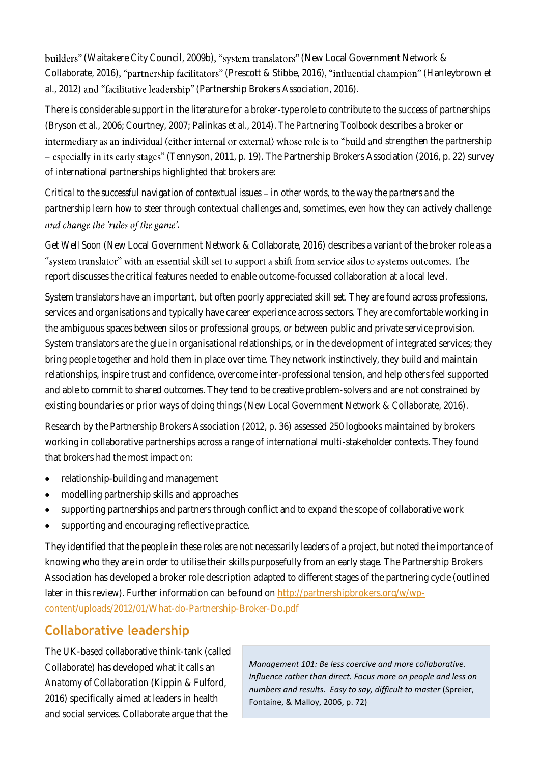builders" (Waitakere City Council, 2009b), "system translators" (New Local Government Network & Collaborate, 2016), "partnership facilitators" (Prescott & Stibbe, 2016), "influential champion" (Hanleybrown et al., 2012) and "facilitative leadership" (Partnership Brokers Association, 2016).

There is considerable support in the literature for a broker-type role to contribute to the success of partnerships (Bryson et al., 2006; Courtney, 2007; Palinkas et al., 2014). *The Partnering Toolbook* describes a broker or intermediary as an individual (either internal or external) whose role is to "build and strengthen the partnership - especially in its early stages" (Tennyson, 2011, p. 19). The Partnership Brokers Association (2016, p. 22) survey of international partnerships highlighted that brokers are:

*Critical to the successful navigation of contextual issues in other words, to the way the partners and the partnership learn how to steer through contextual challenges and, sometimes, even how they can actively challenge*  and change the 'rules of the game'.

*Get Well Soon* (New Local Government Network & Collaborate, 2016) describes a variant of the broker role as a "system translator" with an essential skill set to support a shift from service silos to systems outcomes. The report discusses the critical features needed to enable outcome-focussed collaboration at a local level.

System translators have an important, but often poorly appreciated skill set. They are found across professions, services and organisations and typically have career experience across sectors. They are comfortable working in the ambiguous spaces between silos or professional groups, or between public and private service provision. System translators are the glue in organisational relationships, or in the development of integrated services; they bring people together and hold them in place over time. They network instinctively, they build and maintain relationships, inspire trust and confidence, overcome inter-professional tension, and help others feel supported and able to commit to shared outcomes. They tend to be creative problem-solvers and are not constrained by existing boundaries or prior ways of doing things (New Local Government Network & Collaborate, 2016).

Research by the Partnership Brokers Association (2012, p. 36) assessed 250 logbooks maintained by brokers working in collaborative partnerships across a range of international multi-stakeholder contexts. They found that brokers had the most impact on:

- relationship-building and management
- modelling partnership skills and approaches
- supporting partnerships and partners through conflict and to expand the scope of collaborative work
- supporting and encouraging reflective practice.

They identified that the people in these roles are not necessarily leaders of a project, but noted the importance of knowing who they are in order to utilise their skills purposefully from an early stage. The Partnership Brokers Association has developed a broker role description adapted to different stages of the partnering cycle (outlined later in this review). Further information can be found on [http://partnershipbrokers.org/w/wp](http://partnershipbrokers.org/w/wp-content/uploads/2012/01/What-do-Partnership-Broker-Do.pdf)[content/uploads/2012/01/What-do-Partnership-Broker-Do.pdf](http://partnershipbrokers.org/w/wp-content/uploads/2012/01/What-do-Partnership-Broker-Do.pdf)

#### **Collaborative leadership**

The UK-based collaborative think-tank (called Collaborate) has developed what it calls an *Anatomy of Collaboration* (Kippin & Fulford, 2016) specifically aimed at leaders in health and social services. Collaborate argue that the

*Management 101: Be less coercive and more collaborative. Influence rather than direct. Focus more on people and less on numbers and results. Easy to say, difficult to master* (Spreier, Fontaine, & Malloy, 2006, p. 72)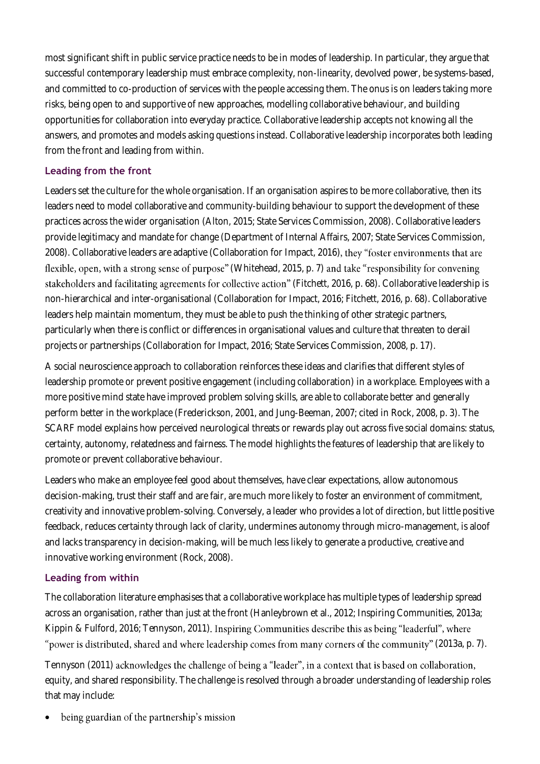most significant shift in public service practice needs to be in modes of leadership. In particular, they argue that successful contemporary leadership must embrace complexity, non-linearity, devolved power, be systems-based, and committed to co-production of services with the people accessing them. The onus is on leaders taking more risks, being open to and supportive of new approaches, modelling collaborative behaviour, and building opportunities for collaboration into everyday practice. Collaborative leadership accepts not knowing all the answers, and promotes and models asking questions instead. Collaborative leadership incorporates both leading from the front and leading from within.

#### **Leading from the front**

Leaders set the culture for the whole organisation. If an organisation aspires to be more collaborative, then its leaders need to model collaborative and community-building behaviour to support the development of these practices across the wider organisation (Alton, 2015; State Services Commission, 2008). Collaborative leaders provide legitimacy and mandate for change (Department of Internal Affairs, 2007; State Services Commission, 2008). Collaborative leaders are adaptive (Collaboration for Impact, 2016), they "foster environments that are flexible, open, with a strong sense of purpose" (Whitehead, 2015, p. 7) and take "responsibility for convening stakeholders and facilitating agreements for collective action" (Fitchett, 2016, p. 68). Collaborative leadership is non-hierarchical and inter-organisational (Collaboration for Impact, 2016; Fitchett, 2016, p. 68). Collaborative leaders help maintain momentum, they must be able to push the thinking of other strategic partners, particularly when there is conflict or differences in organisational values and culture that threaten to derail projects or partnerships (Collaboration for Impact, 2016; State Services Commission, 2008, p. 17).

A social neuroscience approach to collaboration reinforces these ideas and clarifies that different styles of leadership promote or prevent positive engagement (including collaboration) in a workplace. Employees with a more positive mind state have improved problem solving skills, are able to collaborate better and generally perform better in the workplace (Frederickson, 2001, and Jung-Beeman, 2007; cited in Rock, 2008, p. 3). The SCARF model explains how perceived neurological threats or rewards play out across five social domains: status, certainty, autonomy, relatedness and fairness. The model highlights the features of leadership that are likely to promote or prevent collaborative behaviour.

Leaders who make an employee feel good about themselves, have clear expectations, allow autonomous decision-making, trust their staff and are fair, are much more likely to foster an environment of commitment, creativity and innovative problem-solving. Conversely, a leader who provides a lot of direction, but little positive feedback, reduces certainty through lack of clarity, undermines autonomy through micro-management, is aloof and lacks transparency in decision-making, will be much less likely to generate a productive, creative and innovative working environment (Rock, 2008).

#### **Leading from within**

The collaboration literature emphasises that a collaborative workplace has multiple types of leadership spread across an organisation, rather than just at the front (Hanleybrown et al., 2012; Inspiring Communities, 2013a; Kippin & Fulford, 2016; Tennyson, 2011). Inspiring Communities describe this as being "leaderful", where "power is distributed, shared and where leadership comes from many corners of the community" (2013a, p. 7).

Tennyson (2011) acknowledges the challenge of being a "leader", in a context that is based on collaboration, equity, and shared responsibility. The challenge is resolved through a broader understanding of leadership roles that may include:

being guardian of the partnership's mission •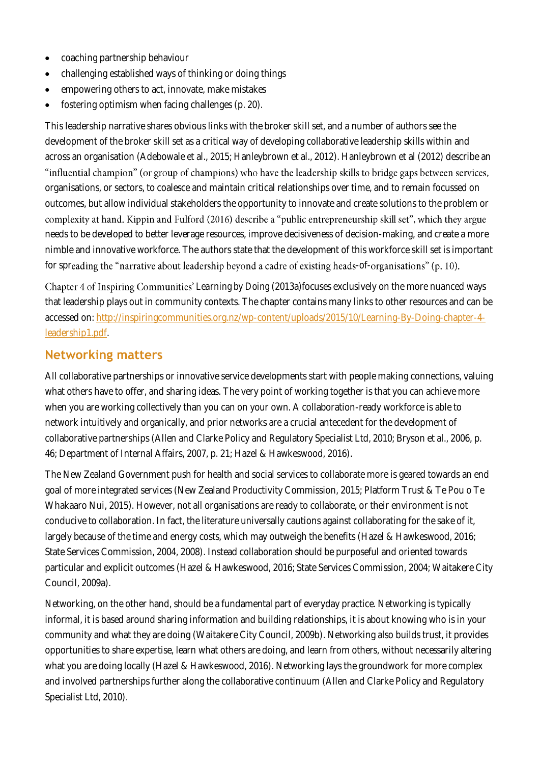- coaching partnership behaviour
- challenging established ways of thinking or doing things
- empowering others to act, innovate, make mistakes
- fostering optimism when facing challenges (p. 20).

This leadership narrative shares obvious links with the broker skill set, and a number of authors see the development of the broker skill set as a critical way of developing collaborative leadership skills within and across an organisation (Adebowale et al., 2015; Hanleybrown et al., 2012). Hanleybrown et al (2012) describe an "influential champion" (or group of champions) who have the leadership skills to bridge gaps between services, organisations, or sectors, to coalesce and maintain critical relationships over time, and to remain focussed on outcomes, but allow individual stakeholders the opportunity to innovate and create solutions to the problem or complexity at hand. Kippin and Fulford (2016) describe a "public entrepreneurship skill set", which they argue needs to be developed to better leverage resources, improve decisiveness of decision-making, and create a more nimble and innovative workforce. The authors state that the development of this workforce skill set is important for spreading the "narrative about leadership beyond a cadre of existing heads-of-organisations" (p. 10).

Chapter 4 of Inspiring Communities' Learning by Doing (2013a)focuses exclusively on the more nuanced ways that leadership plays out in community contexts. The chapter contains many links to other resources and can be accessed on: [http://inspiringcommunities.org.nz/wp-content/uploads/2015/10/Learning-By-Doing-chapter-4](http://inspiringcommunities.org.nz/wp-content/uploads/2015/10/Learning-By-Doing-chapter-4-leadership1.pdf) [leadership1.pdf.](http://inspiringcommunities.org.nz/wp-content/uploads/2015/10/Learning-By-Doing-chapter-4-leadership1.pdf)

#### **Networking matters**

All collaborative partnerships or innovative service developments start with people making connections, valuing what others have to offer, and sharing ideas. The very point of working together is that you can achieve more when you are working collectively than you can on your own. A collaboration-ready workforce is able to network intuitively and organically, and prior networks are a crucial antecedent for the development of collaborative partnerships (Allen and Clarke Policy and Regulatory Specialist Ltd, 2010; Bryson et al., 2006, p. 46; Department of Internal Affairs, 2007, p. 21; Hazel & Hawkeswood, 2016).

The New Zealand Government push for health and social services to collaborate more is geared towards an end goal of more integrated services (New Zealand Productivity Commission, 2015; Platform Trust & Te Pou o Te Whakaaro Nui, 2015). However, not all organisations are ready to collaborate, or their environment is not conducive to collaboration. In fact, the literature universally cautions against collaborating for the sake of it, largely because of the time and energy costs, which may outweigh the benefits (Hazel & Hawkeswood, 2016; State Services Commission, 2004, 2008). Instead collaboration should be purposeful and oriented towards particular and explicit outcomes (Hazel & Hawkeswood, 2016; State Services Commission, 2004; Waitakere City Council, 2009a).

Networking, on the other hand, should be a fundamental part of everyday practice. Networking is typically informal, it is based around sharing information and building relationships, it is about knowing who is in your community and what they are doing (Waitakere City Council, 2009b). Networking also builds trust, it provides opportunities to share expertise, learn what others are doing, and learn from others, without necessarily altering what you are doing locally (Hazel & Hawkeswood, 2016). Networking lays the groundwork for more complex and involved partnerships further along the collaborative continuum (Allen and Clarke Policy and Regulatory Specialist Ltd, 2010).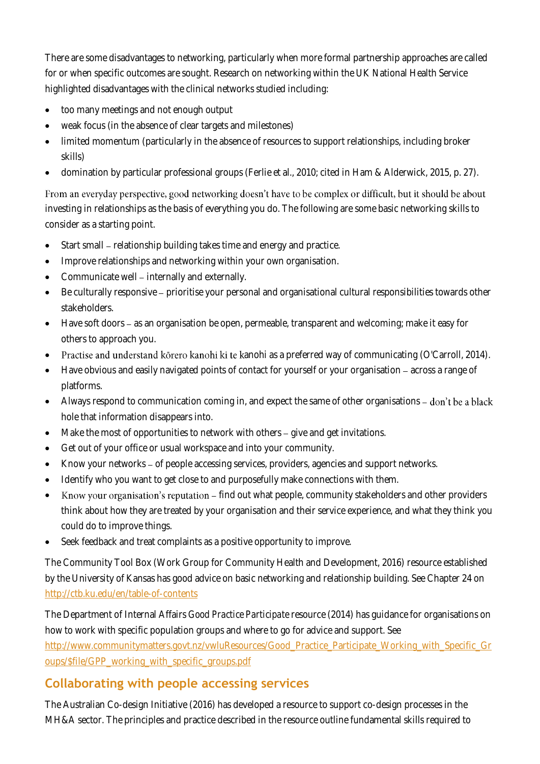There are some disadvantages to networking, particularly when more formal partnership approaches are called for or when specific outcomes are sought. Research on networking within the UK National Health Service highlighted disadvantages with the clinical networks studied including:

- too many meetings and not enough output
- weak focus (in the absence of clear targets and milestones)
- limited momentum (particularly in the absence of resources to support relationships, including broker skills)
- domination by particular professional groups (Ferlie et al., 2010; cited in Ham & Alderwick, 2015, p. 27).

From an everyday perspective, good networking doesn't have to be complex or difficult, but it should be about investing in relationships as the basis of everything you do. The following are some basic networking skills to consider as a starting point.

- $\bullet$  Start small relationship building takes time and energy and practice.
- Improve relationships and networking within your own organisation.
- Communicate well internally and externally.
- Be culturally responsive prioritise your personal and organisational cultural responsibilities towards other stakeholders.
- Have soft doors as an organisation be open, permeable, transparent and welcoming; make it easy for others to approach you.
- Practise and understand kōrero kanohi ki te kanohi as a preferred way of communicating (O'Carroll, 2014).
- Have obvious and easily navigated points of contact for yourself or your organisation across a range of platforms.
- Always respond to communication coming in, and expect the same of other organisations don't be a black hole that information disappears into.
- $\bullet$  Make the most of opportunities to network with others  $-$  give and get invitations.
- Get out of your office or usual workspace and into your community.
- $\bullet$  Know your networks of people accessing services, providers, agencies and support networks.
- Identify who you want to get close to and purposefully make connections with them.
- Know your organisation's reputation find out what people, community stakeholders and other providers think about how they are treated by your organisation and their service experience, and what they think you could do to improve things.
- Seek feedback and treat complaints as a positive opportunity to improve.

The Community Tool Box (Work Group for Community Health and Development, 2016) resource established by the University of Kansas has good advice on basic networking and relationship building. See Chapter 24 on <http://ctb.ku.edu/en/table-of-contents>

The Department of Internal Affairs *Good Practice Participate* resource (2014) has guidance for organisations on how to work with specific population groups and where to go for advice and support. See [http://www.communitymatters.govt.nz/vwluResources/Good\\_Practice\\_Participate\\_Working\\_with\\_Specific\\_Gr](http://www.communitymatters.govt.nz/vwluResources/Good_Practice_Participate_Working_with_Specific_Groups/$file/GPP_working_with_specific_groups.pdf) [oups/\\$file/GPP\\_working\\_with\\_specific\\_groups.pdf](http://www.communitymatters.govt.nz/vwluResources/Good_Practice_Participate_Working_with_Specific_Groups/$file/GPP_working_with_specific_groups.pdf)

### **Collaborating with people accessing services**

The Australian Co-design Initiative (2016) has developed a resource to support co-design processes in the MH&A sector. The principles and practice described in the resource outline fundamental skills required to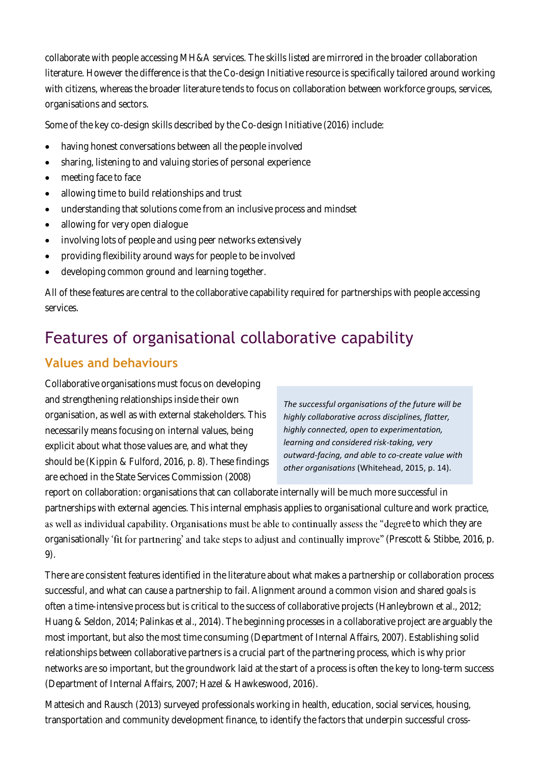collaborate with people accessing MH&A services. The skills listed are mirrored in the broader collaboration literature. However the difference is that the Co-design Initiative resource is specifically tailored around working with citizens, whereas the broader literature tends to focus on collaboration between workforce groups, services, organisations and sectors.

Some of the key co-design skills described by the Co-design Initiative (2016) include:

- having honest conversations between all the people involved
- sharing, listening to and valuing stories of personal experience
- meeting face to face
- allowing time to build relationships and trust
- understanding that solutions come from an inclusive process and mindset
- allowing for very open dialogue
- involving lots of people and using peer networks extensively
- providing flexibility around ways for people to be involved
- developing common ground and learning together.

All of these features are central to the collaborative capability required for partnerships with people accessing services.

## Features of organisational collaborative capability

## **Values and behaviours**

Collaborative organisations must focus on developing and strengthening relationships inside their own organisation, as well as with external stakeholders. This necessarily means focusing on internal values, being explicit about what those values are, and what they should be (Kippin & Fulford, 2016, p. 8). These findings are echoed in the State Services Commission (2008)

*The successful organisations of the future will be highly collaborative across disciplines, flatter, highly connected, open to experimentation, learning and considered risk-taking, very outward-facing, and able to co-create value with other organisations* (Whitehead, 2015, p. 14).

report on collaboration: organisations that can collaborate internally will be much more successful in partnerships with external agencies. This internal emphasis applies to organisational culture and work practice, as well as individual capability. Organisations must be able to continually assess the "degree to which they are organisationally 'fit for partnering' and take steps to adjust and continually improve" (Prescott & Stibbe, 2016, p. 9).

There are consistent features identified in the literature about what makes a partnership or collaboration process successful, and what can cause a partnership to fail. Alignment around a common vision and shared goals is often a time-intensive process but is critical to the success of collaborative projects (Hanleybrown et al., 2012; Huang & Seldon, 2014; Palinkas et al., 2014). The beginning processes in a collaborative project are arguably the most important, but also the most time consuming (Department of Internal Affairs, 2007). Establishing solid relationships between collaborative partners is a crucial part of the partnering process, which is why prior networks are so important, but the groundwork laid at the start of a process is often the key to long-term success (Department of Internal Affairs, 2007; Hazel & Hawkeswood, 2016).

Mattesich and Rausch (2013) surveyed professionals working in health, education, social services, housing, transportation and community development finance, to identify the factors that underpin successful cross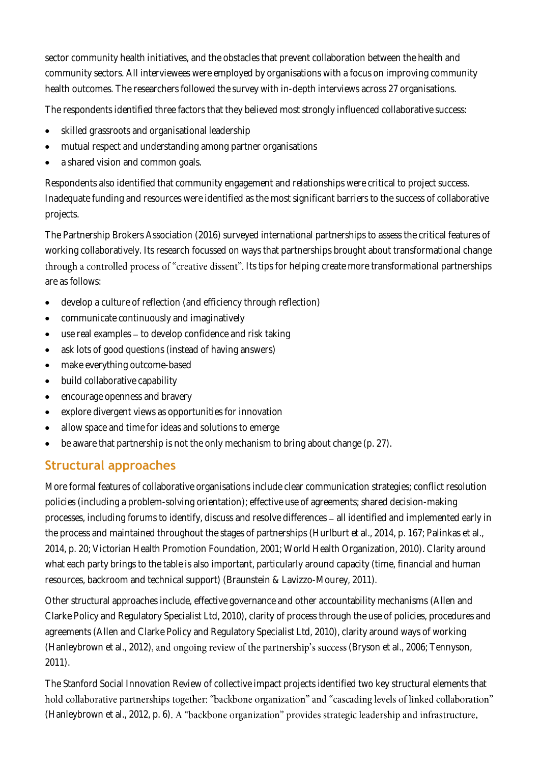sector community health initiatives, and the obstacles that prevent collaboration between the health and community sectors. All interviewees were employed by organisations with a focus on improving community health outcomes. The researchers followed the survey with in-depth interviews across 27 organisations.

The respondents identified three factors that they believed most strongly influenced collaborative success:

- skilled grassroots and organisational leadership
- mutual respect and understanding among partner organisations
- a shared vision and common goals.

Respondents also identified that community engagement and relationships were critical to project success. Inadequate funding and resources were identified as the most significant barriers to the success of collaborative projects.

The Partnership Brokers Association (2016) surveyed international partnerships to assess the critical features of working collaboratively. Its research focussed on ways that partnerships brought about transformational change through a controlled process of "creative dissent". Its tips for helping create more transformational partnerships are as follows:

- develop a culture of reflection (and efficiency through reflection)
- communicate continuously and imaginatively
- use real examples to develop confidence and risk taking
- ask lots of good questions (instead of having answers)
- make everything outcome-based
- build collaborative capability
- encourage openness and bravery
- explore divergent views as opportunities for innovation
- allow space and time for ideas and solutions to emerge
- $\bullet$  be aware that partnership is not the only mechanism to bring about change (p. 27).

### **Structural approaches**

More formal features of collaborative organisations include clear communication strategies; conflict resolution policies (including a problem-solving orientation); effective use of agreements; shared decision-making processes, including forums to identify, discuss and resolve differences – all identified and implemented early in the process and maintained throughout the stages of partnerships (Hurlburt et al., 2014, p. 167; Palinkas et al., 2014, p. 20; Victorian Health Promotion Foundation, 2001; World Health Organization, 2010). Clarity around what each party brings to the table is also important, particularly around capacity (time, financial and human resources, backroom and technical support) (Braunstein & Lavizzo-Mourey, 2011).

Other structural approaches include, effective governance and other accountability mechanisms (Allen and Clarke Policy and Regulatory Specialist Ltd, 2010), clarity of process through the use of policies, procedures and agreements (Allen and Clarke Policy and Regulatory Specialist Ltd, 2010), clarity around ways of working (Hanleybrown et al., 2012), and ongoing review of the partnership's success (Bryson et al., 2006; Tennyson, 2011).

The Stanford Social Innovation Review of collective impact projects identified two key structural elements that hold collaborative partnerships together: "backbone organization" and "cascading levels of linked collaboration" (Hanleybrown et al., 2012, p. 6). A "backbone organization" provides strategic leadership and infrastructure,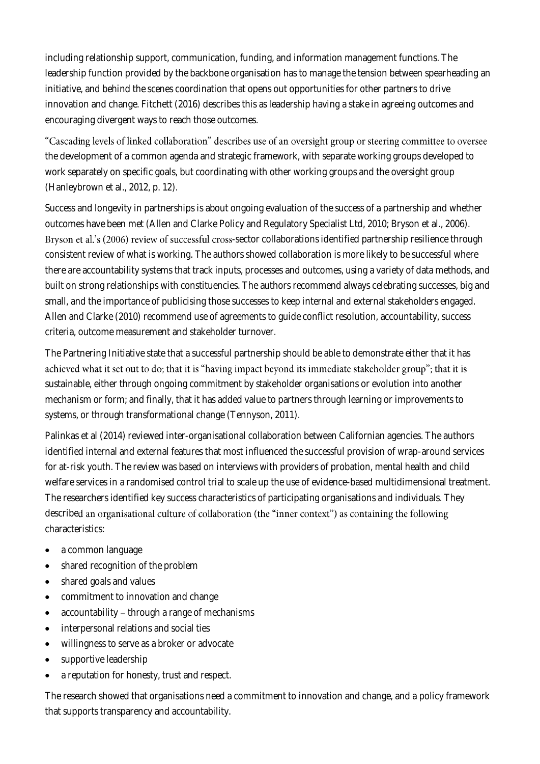including relationship support, communication, funding, and information management functions. The leadership function provided by the backbone organisation has to manage the tension between spearheading an initiative, and behind the scenes coordination that opens out opportunities for other partners to drive innovation and change. Fitchett (2016) describes this as leadership having a stake in agreeing outcomes and encouraging divergent ways to reach those outcomes.

"Cascading levels of linked collaboration" describes use of an oversight group or steering committee to oversee the development of a common agenda and strategic framework, with separate working groups developed to work separately on specific goals, but coordinating with other working groups and the oversight group (Hanleybrown et al., 2012, p. 12).

Success and longevity in partnerships is about ongoing evaluation of the success of a partnership and whether outcomes have been met (Allen and Clarke Policy and Regulatory Specialist Ltd, 2010; Bryson et al., 2006). Bryson et al.'s (2006) review of successful cross-sector collaborations identified partnership resilience through consistent review of what is working. The authors showed collaboration is more likely to be successful where there are accountability systems that track inputs, processes and outcomes, using a variety of data methods, and built on strong relationships with constituencies. The authors recommend always celebrating successes, big and small, and the importance of publicising those successes to keep internal and external stakeholders engaged. Allen and Clarke (2010) recommend use of agreements to guide conflict resolution, accountability, success criteria, outcome measurement and stakeholder turnover.

The Partnering Initiative state that a successful partnership should be able to demonstrate either that it has achieved what it set out to do; that it is "having impact beyond its immediate stakeholder group"; that it is sustainable, either through ongoing commitment by stakeholder organisations or evolution into another mechanism or form; and finally, that it has added value to partners through learning or improvements to systems, or through transformational change (Tennyson, 2011).

Palinkas et al (2014) reviewed inter-organisational collaboration between Californian agencies. The authors identified internal and external features that most influenced the successful provision of wrap-around services for at-risk youth. The review was based on interviews with providers of probation, mental health and child welfare services in a randomised control trial to scale up the use of evidence-based multidimensional treatment. The researchers identified key success characteristics of participating organisations and individuals. They described an organisational culture of collaboration (the "inner context") as containing the following characteristics:

- a common language
- shared recognition of the problem
- shared goals and values
- commitment to innovation and change
- accountability through a range of mechanisms
- interpersonal relations and social ties
- willingness to serve as a broker or advocate
- supportive leadership
- a reputation for honesty, trust and respect.

The research showed that organisations need a commitment to innovation and change, and a policy framework that supports transparency and accountability.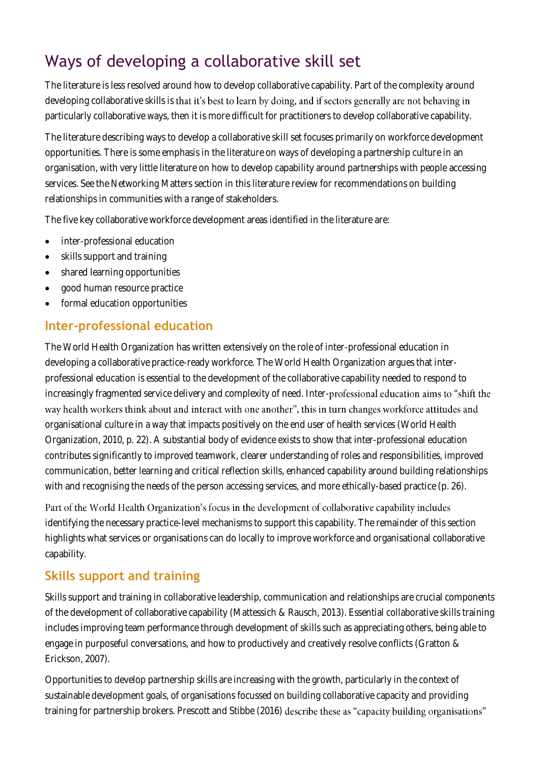# Ways of developing a collaborative skill set

The literature is less resolved around how to develop collaborative capability. Part of the complexity around developing collaborative skills is that it's best to learn by doing, and if sectors generally are not behaving in particularly collaborative ways, then it is more difficult for practitioners to develop collaborative capability.

The literature describing ways to develop a collaborative skill set focuses primarily on workforce development opportunities. There is some emphasis in the literature on ways of developing a partnership culture in an organisation, with very little literature on how to develop capability around partnerships with people accessing services. See the Networking Matters section in this literature review for recommendations on building relationships in communities with a range of stakeholders.

The five key collaborative workforce development areas identified in the literature are:

- inter-professional education
- skills support and training
- shared learning opportunities
- good human resource practice
- formal education opportunities

## **Inter-professional education**

The World Health Organization has written extensively on the role of inter-professional education in developing a collaborative practice-ready workforce. The World Health Organization argues that interprofessional education is essential to the development of the collaborative capability needed to respond to increasingly fragmented service delivery and complexity of need. Inter-professional education aims to "shift the way health workers think about and interact with one another", this in turn changes workforce attitudes and organisational culture in a way that impacts positively on the end user of health services (World Health Organization, 2010, p. 22). A substantial body of evidence exists to show that inter-professional education contributes significantly to improved teamwork, clearer understanding of roles and responsibilities, improved communication, better learning and critical reflection skills, enhanced capability around building relationships with and recognising the needs of the person accessing services, and more ethically-based practice (p. 26).

Part of the World Health Organization's focus in the development of collaborative capability includes identifying the necessary practice-level mechanisms to support this capability. The remainder of this section highlights what services or organisations can do locally to improve workforce and organisational collaborative capability.

## **Skills support and training**

Skills support and training in collaborative leadership, communication and relationships are crucial components of the development of collaborative capability (Mattessich & Rausch, 2013). Essential collaborative skills training includes improving team performance through development of skills such as appreciating others, being able to engage in purposeful conversations, and how to productively and creatively resolve conflicts (Gratton & Erickson, 2007).

Opportunities to develop partnership skills are increasing with the growth, particularly in the context of sustainable development goals, of organisations focussed on building collaborative capacity and providing training for partnership brokers. Prescott and Stibbe (2016) describe these as "capacity building organisations"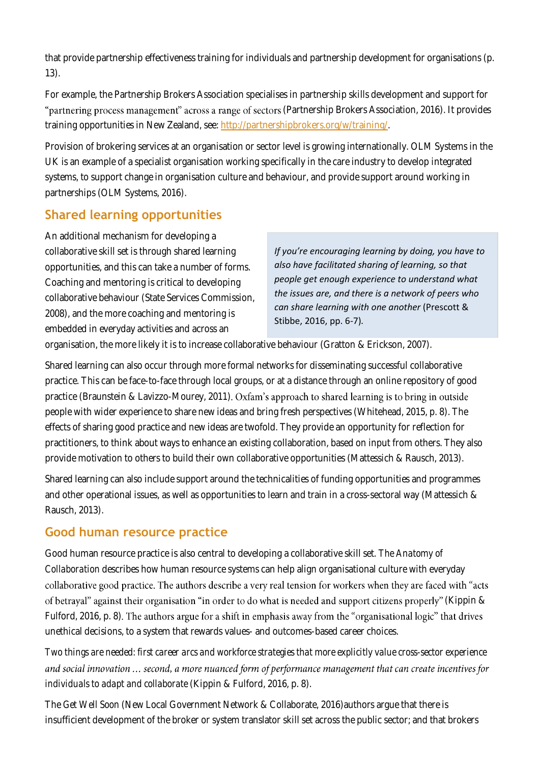that provide partnership effectiveness training for individuals and partnership development for organisations (p. 13).

For example, the Partnership Brokers Association specialises in partnership skills development and support for "partnering process management" across a range of sectors (Partnership Brokers Association, 2016). It provides training opportunities in New Zealand, see: [http://partnershipbrokers.org/w/training/.](http://partnershipbrokers.org/w/training/)

Provision of brokering services at an organisation or sector level is growing internationally. OLM Systems in the UK is an example of a specialist organisation working specifically in the care industry to develop integrated systems, to support change in organisation culture and behaviour, and provide support around working in partnerships (OLM Systems, 2016).

### **Shared learning opportunities**

An additional mechanism for developing a collaborative skill set is through shared learning opportunities, and this can take a number of forms. Coaching and mentoring is critical to developing collaborative behaviour (State Services Commission, 2008), and the more coaching and mentoring is embedded in everyday activities and across an

*If you're encouraging learning by doing, you have to also have facilitated sharing of learning, so that people get enough experience to understand what the issues are, and there is a network of peers who can share learning with one another* (Prescott & Stibbe, 2016, pp. 6-7)*.*

organisation, the more likely it is to increase collaborative behaviour (Gratton & Erickson, 2007).

Shared learning can also occur through more formal networks for disseminating successful collaborative practice. This can be face-to-face through local groups, or at a distance through an online repository of good practice (Braunstein & Lavizzo-Mourey, 2011). Oxfam's approach to shared learning is to bring in outside people with wider experience to share new ideas and bring fresh perspectives (Whitehead, 2015, p. 8). The effects of sharing good practice and new ideas are twofold. They provide an opportunity for reflection for practitioners, to think about ways to enhance an existing collaboration, based on input from others. They also provide motivation to others to build their own collaborative opportunities (Mattessich & Rausch, 2013).

Shared learning can also include support around the technicalities of funding opportunities and programmes and other operational issues, as well as opportunities to learn and train in a cross-sectoral way (Mattessich & Rausch, 2013).

#### **Good human resource practice**

Good human resource practice is also central to developing a collaborative skill set. *The Anatomy of Collaboration* describes how human resource systems can help align organisational culture with everyday collaborative good practice. The authors describe a very real tension for workers when they are faced with "acts of betrayal" against their organisation "in order to do what is needed and support citizens properly" (Kippin & Fulford, 2016, p. 8). The authors argue for a shift in emphasis away from the "organisational logic" that drives unethical decisions, to a system that rewards values- and outcomes-based career choices.

*Two things are needed: first career arcs and workforce strategies that more explicitly value cross-sector experience*  and social innovation ... second, a more nuanced form of performance management that can create incentives for *individuals to adapt and collaborate* (Kippin & Fulford, 2016, p. 8).

The *Get Well Soon* (New Local Government Network & Collaborate, 2016)authors argue that there is insufficient development of the broker or system translator skill set across the public sector; and that brokers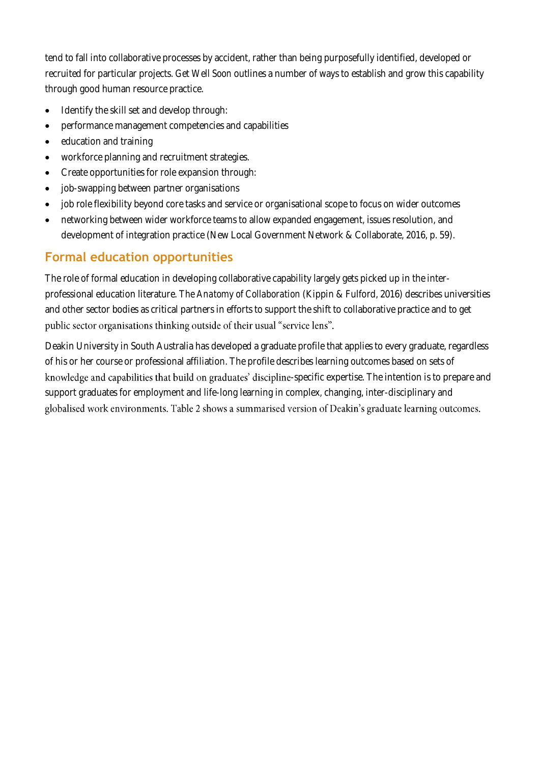tend to fall into collaborative processes by accident, rather than being purposefully identified, developed or recruited for particular projects. *Get Well Soon* outlines a number of ways to establish and grow this capability through good human resource practice.

- Identify the skill set and develop through:
- performance management competencies and capabilities
- education and training
- workforce planning and recruitment strategies.
- Create opportunities for role expansion through:
- job-swapping between partner organisations
- job role flexibility beyond core tasks and service or organisational scope to focus on wider outcomes
- networking between wider workforce teams to allow expanded engagement, issues resolution, and development of integration practice (New Local Government Network & Collaborate, 2016, p. 59).

### **Formal education opportunities**

The role of formal education in developing collaborative capability largely gets picked up in the interprofessional education literature. *The Anatomy of Collaboration* (Kippin & Fulford, 2016) describes universities and other sector bodies as critical partners in efforts to support the shift to collaborative practice and to get public sector organisations thinking outside of their usual "service lens".

Deakin University in South Australia has developed a graduate profile that applies to every graduate, regardless of his or her course or professional affiliation. The profile describes learning outcomes based on sets of knowledge and capabilities that build on graduates' discipline-specific expertise. The intention is to prepare and support graduates for employment and life-long learning in complex, changing, inter-disciplinary and globalised work environments. Table 2 shows a summarised version of Deakin's graduate learning outcomes.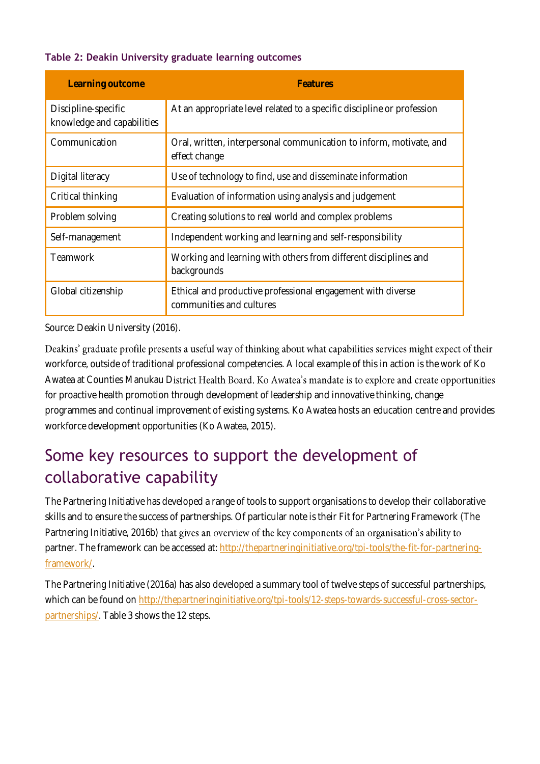#### **Table 2: Deakin University graduate learning outcomes**

| Learning outcome                                  | <b>Features</b>                                                                         |
|---------------------------------------------------|-----------------------------------------------------------------------------------------|
| Discipline-specific<br>knowledge and capabilities | At an appropriate level related to a specific discipline or profession                  |
| Communication                                     | Oral, written, interpersonal communication to inform, motivate, and<br>effect change    |
| Digital literacy                                  | Use of technology to find, use and disseminate information                              |
| Critical thinking                                 | Evaluation of information using analysis and judgement                                  |
| Problem solving                                   | Creating solutions to real world and complex problems                                   |
| Self-management                                   | Independent working and learning and self-responsibility                                |
| Teamwork                                          | Working and learning with others from different disciplines and<br>backgrounds          |
| Global citizenship                                | Ethical and productive professional engagement with diverse<br>communities and cultures |

Source: Deakin University (2016).

Deakins' graduate profile presents a useful way of thinking about what capabilities services might expect of their workforce, outside of traditional professional competencies. A local example of this in action is the work of Ko Awatea at Counties Manukau District Health Board. Ko Awatea's mandate is to explore and create opportunities for proactive health promotion through development of leadership and innovative thinking, change programmes and continual improvement of existing systems. Ko Awatea hosts an education centre and provides workforce development opportunities (Ko Awatea, 2015).

## Some key resources to support the development of collaborative capability

The Partnering Initiative has developed a range of tools to support organisations to develop their collaborative skills and to ensure the success of partnerships. Of particular note is their Fit for Partnering Framework (The Partnering Initiative, 2016b) that gives an overview of the key components of an organisation's ability to partner. The framework can be accessed at: [http://thepartneringinitiative.org/tpi-tools/the-fit-for-partnering](http://thepartneringinitiative.org/tpi-tools/the-fit-for-partnering-framework/)[framework/.](http://thepartneringinitiative.org/tpi-tools/the-fit-for-partnering-framework/)

The Partnering Initiative (2016a) has also developed a summary tool of twelve steps of successful partnerships, which can be found on [http://thepartneringinitiative.org/tpi-tools/12-steps-towards-successful-cross-sector](http://thepartneringinitiative.org/tpi-tools/12-steps-towards-successful-cross-sector-partnerships/)[partnerships/.](http://thepartneringinitiative.org/tpi-tools/12-steps-towards-successful-cross-sector-partnerships/) Table 3 shows the 12 steps.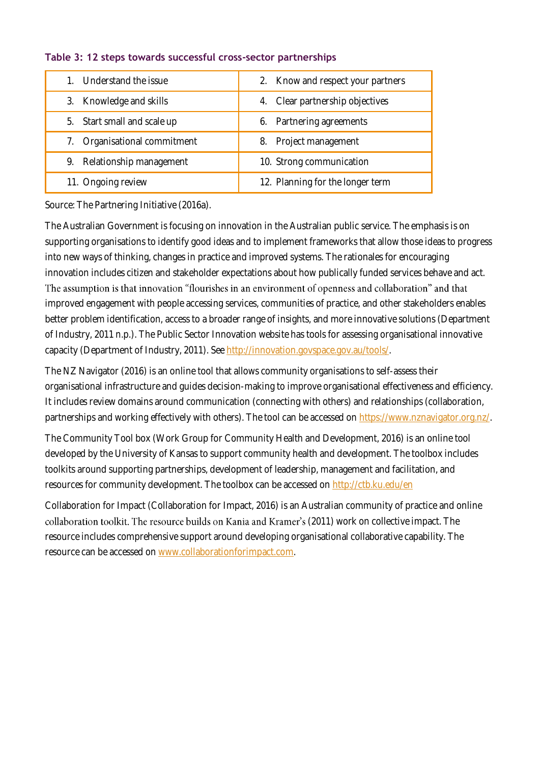| 1. Understand the issue         | 2. Know and respect your partners |
|---------------------------------|-----------------------------------|
| Knowledge and skills<br>3.      | 4. Clear partnership objectives   |
| 5. Start small and scale up     | 6. Partnering agreements          |
| Organisational commitment<br>7. | 8. Project management             |
| Relationship management<br>9.   | 10. Strong communication          |
| 11. Ongoing review              | 12. Planning for the longer term  |

#### **Table 3: 12 steps towards successful cross-sector partnerships**

Source: The Partnering Initiative (2016a).

The Australian Government is focusing on innovation in the Australian public service. The emphasis is on supporting organisations to identify good ideas and to implement frameworks that allow those ideas to progress into new ways of thinking, changes in practice and improved systems. The rationales for encouraging innovation includes citizen and stakeholder expectations about how publically funded services behave and act. The assumption is that innovation "flourishes in an environment of openness and collaboration" and that improved engagement with people accessing services, communities of practice, and other stakeholders enables better problem identification, access to a broader range of insights, and more innovative solutions (Department of Industry, 2011 n.p.). The Public Sector Innovation website has tools for assessing organisational innovative capacity (Department of Industry, 2011). Se[e http://innovation.govspace.gov.au/tools/.](http://innovation.govspace.gov.au/tools/)

The NZ Navigator (2016) is an online tool that allows community organisations to self-assess their organisational infrastructure and guides decision-making to improve organisational effectiveness and efficiency. It includes review domains around communication (connecting with others) and relationships (collaboration, partnerships and working effectively with others). The tool can be accessed on [https://www.nznavigator.org.nz/.](https://www.nznavigator.org.nz/)

The Community Tool box (Work Group for Community Health and Development, 2016) is an online tool developed by the University of Kansas to support community health and development. The toolbox includes toolkits around supporting partnerships, development of leadership, management and facilitation, and resources for community development. The toolbox can be accessed o[n http://ctb.ku.edu/en](http://ctb.ku.edu/en)

Collaboration for Impact (Collaboration for Impact, 2016) is an Australian community of practice and online collaboration toolkit. The resource builds on Kania and Kramer's (2011) work on collective impact. The resource includes comprehensive support around developing organisational collaborative capability. The resource can be accessed o[n www.collaborationforimpact.com.](http://www.collaborationforimpact.com/)